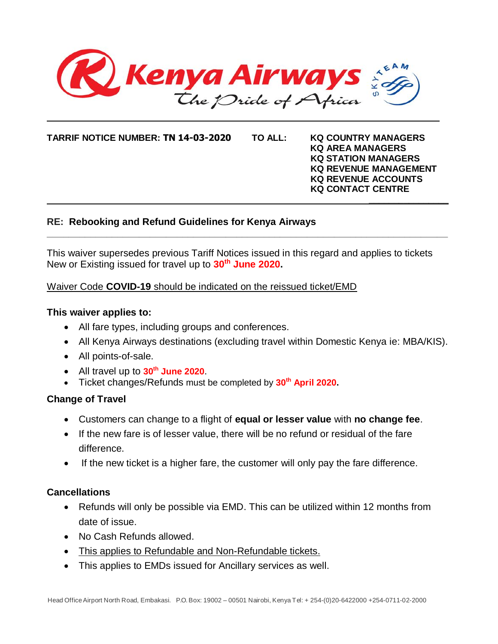

**TARRIF NOTICE NUMBER: TN 14-03-2020 TO ALL: KQ COUNTRY MANAGERS**

**KQ AREA MANAGERS KQ STATION MANAGERS KQ REVENUE MANAGEMENT KQ REVENUE ACCOUNTS KQ CONTACT CENTRE** 

# **RE: Rebooking and Refund Guidelines for Kenya Airways**

This waiver supersedes previous Tariff Notices issued in this regard and applies to tickets New or Existing issued for travel up to **30 th June 2020.**

 **\_\_\_\_\_\_\_\_\_\_\_\_\_\_\_\_**

**\_\_\_\_\_\_\_\_\_\_\_\_\_\_\_\_\_\_\_\_\_\_\_\_\_\_\_\_\_\_\_\_\_\_\_\_\_\_\_\_\_\_\_\_\_\_\_\_\_\_\_\_\_\_\_\_\_\_\_\_\_\_\_\_\_\_\_\_\_\_\_\_\_\_**

## Waiver Code **COVID-19** should be indicated on the reissued ticket/EMD

#### **This waiver applies to:**

- All fare types, including groups and conferences.
- All Kenya Airways destinations (excluding travel within Domestic Kenya ie: MBA/KIS).
- All points-of-sale.
- All travel up to **30 th June 2020**.
- Ticket changes/Refunds must be completed by **30 th April 2020.**

# **Change of Travel**

- Customers can change to a flight of **equal or lesser value** with **no change fee**.
- If the new fare is of lesser value, there will be no refund or residual of the fare difference.
- If the new ticket is a higher fare, the customer will only pay the fare difference.

## **Cancellations**

- Refunds will only be possible via EMD. This can be utilized within 12 months from date of issue.
- No Cash Refunds allowed.
- This applies to Refundable and Non-Refundable tickets.
- This applies to EMDs issued for Ancillary services as well.